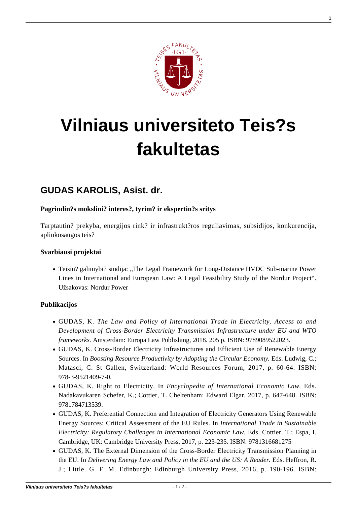

# **[Vilniaus universiteto Teis?s](https://www.tf.vu.lt/) [fakultetas](https://www.tf.vu.lt/)**

# **[GUDAS KAROLIS, Asist. dr.](https://www.tf.vu.lt/about_us/katedros/viesosios-teises-katedra/gudas-karolis-asist-dr/)**

## **Pagrindin?s mokslini? interes?, tyrim? ir ekspertin?s sritys**

Tarptautin? prekyba, energijos rink? ir infrastrukt?ros reguliavimas, subsidijos, konkurencija, aplinkosaugos teis?

#### **Svarbiausi projektai**

• Teisin? galimybi? studija: "The Legal Framework for Long-Distance HVDC Sub-marine Power Lines in International and European Law: A Legal Feasibility Study of the Nordur Project". Užsakovas: Nordur Power

### **Publikacijos**

- GUDAS, K. *The Law and Policy of International Trade in Electricity. Access to and Development of Cross-Border Electricity Transmission Infrastructure under EU and WTO frameworks.* Amsterdam: Europa Law Publishing, 2018. 205 p. ISBN: 9789089522023.
- [GUDAS, K. Cross-Border Electricity Infrastructures and Efficient Use of Renewable Energy](https://www.wrforum.org/wrfpublicationspdf/boosting-resource-productivity/) [Sources. In](https://www.wrforum.org/wrfpublicationspdf/boosting-resource-productivity/) *[Boosting Resource Productivity by Adopting the Circular Economy.](https://www.wrforum.org/wrfpublicationspdf/boosting-resource-productivity/)* [Eds. Ludwig, C.;](https://www.wrforum.org/wrfpublicationspdf/boosting-resource-productivity/) [Matasci, C. St Gallen, Switzerland: World Resources Forum, 2017, p. 60-64. ISBN:](https://www.wrforum.org/wrfpublicationspdf/boosting-resource-productivity/) [978-3-9521409-7-0.](https://www.wrforum.org/wrfpublicationspdf/boosting-resource-productivity/)
- [GUDAS, K. Right to Electricity. In](http://www.e-elgar.com/shop/elgar-encyclopedia-of-international-economic-law) *[Encyclopedia of International Economic Law.](http://www.e-elgar.com/shop/elgar-encyclopedia-of-international-economic-law)* [Eds.](http://www.e-elgar.com/shop/elgar-encyclopedia-of-international-economic-law) [Nadakavukaren Schefer, K.; Cottier, T. Cheltenham: Edward Elgar, 2017, p. 647-648. ISBN:](http://www.e-elgar.com/shop/elgar-encyclopedia-of-international-economic-law) [9781784713539.](http://www.e-elgar.com/shop/elgar-encyclopedia-of-international-economic-law)
- GUDAS, K. Preferential Connection and Integration of Electricity Generators Using Renewable Energy Sources: Critical Assessment of the EU Rules. In *International Trade in Sustainable Electricity: Regulatory Challenges in International Economic Law.* Eds. Cottier, T.; Espa, I. Cambridge, UK: Cambridge University Press, 2017, p. 223-235. ISBN: 9781316681275
- [GUDAS, K. The External Dimension of the Cross-Border Electricity Transmission Planning in](https://edinburghuniversitypress.com/book-delivering-energy-law-and-policy-in-the-eu-and-the-us.html) [the EU. In](https://edinburghuniversitypress.com/book-delivering-energy-law-and-policy-in-the-eu-and-the-us.html) *[Delivering Energy Law and Policy in the EU and the US: A Reader.](https://edinburghuniversitypress.com/book-delivering-energy-law-and-policy-in-the-eu-and-the-us.html)* [Eds. Heffron, R.](https://edinburghuniversitypress.com/book-delivering-energy-law-and-policy-in-the-eu-and-the-us.html) [J.; Little. G. F. M. Edinburgh: Edinburgh University Press, 2016, p. 190-196. ISBN:](https://edinburghuniversitypress.com/book-delivering-energy-law-and-policy-in-the-eu-and-the-us.html)